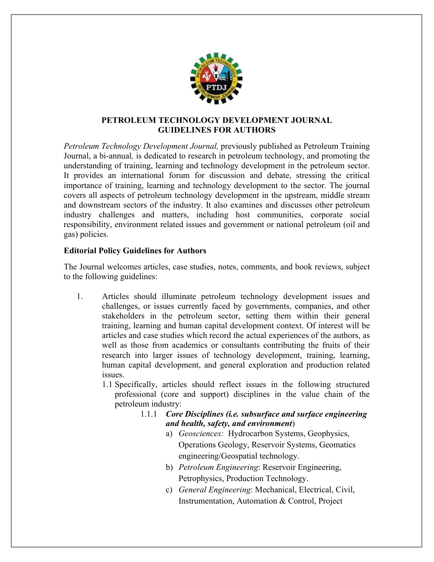

## **PETROLEUM TECHNOLOGY DEVELOPMENT JOURNAL GUIDELINES FOR AUTHORS**

*Petroleum Technology Development Journal,* previously published as Petroleum Training Journal, a bi-annual*,* is dedicated to research in petroleum technology, and promoting the understanding of training, learning and technology development in the petroleum sector. It provides an international forum for discussion and debate, stressing the critical importance of training, learning and technology development to the sector. The journal covers all aspects of petroleum technology development in the upstream, middle stream and downstream sectors of the industry. It also examines and discusses other petroleum industry challenges and matters, including host communities, corporate social responsibility, environment related issues and government or national petroleum (oil and gas) policies.

## **Editorial Policy Guidelines for Authors**

The Journal welcomes articles, case studies, notes, comments, and book reviews, subject to the following guidelines:

- 1. Articles should illuminate petroleum technology development issues and challenges, or issues currently faced by governments, companies, and other stakeholders in the petroleum sector, setting them within their general training, learning and human capital development context. Of interest will be articles and case studies which record the actual experiences of the authors, as well as those from academics or consultants contributing the fruits of their research into larger issues of technology development, training, learning, human capital development, and general exploration and production related issues.
	- 1.1 Specifically, articles should reflect issues in the following structured professional (core and support) disciplines in the value chain of the petroleum industry:
		- 1.1.1 *Core Disciplines (i.e. subsurface and surface engineering and health, safety, and environment*)
			- a) *Geosciences:* Hydrocarbon Systems, Geophysics, Operations Geology, Reservoir Systems, Geomatics engineering/Geospatial technology.
			- b) *Petroleum Engineering*: Reservoir Engineering, Petrophysics, Production Technology.
			- c) *General Engineering*: Mechanical, Electrical, Civil, Instrumentation, Automation & Control, Project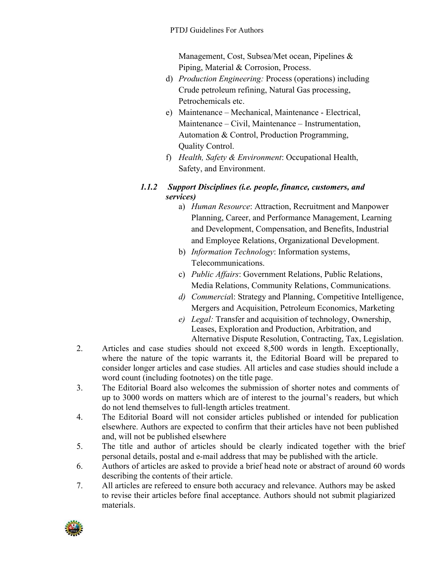Management, Cost, Subsea/Met ocean, Pipelines & Piping, Material & Corrosion, Process.

- d) *Production Engineering:* Process (operations) including Crude petroleum refining, Natural Gas processing, Petrochemicals etc.
- e) Maintenance Mechanical, Maintenance Electrical, Maintenance – Civil, Maintenance – Instrumentation, Automation & Control, Production Programming, Quality Control.
- f) *Health, Safety & Environment*: Occupational Health, Safety, and Environment.

## *1.1.2 Support Disciplines (i.e. people, finance, customers, and services)*

- a) *Human Resource*: Attraction, Recruitment and Manpower Planning, Career, and Performance Management, Learning and Development, Compensation, and Benefits, Industrial and Employee Relations, Organizational Development.
- b) *Information Technology*: Information systems, Telecommunications.
- c) *Public Affairs*: Government Relations, Public Relations, Media Relations, Community Relations, Communications.
- *d) Commercia*l: Strategy and Planning, Competitive Intelligence, Mergers and Acquisition, Petroleum Economics, Marketing
- *e) Legal:* Transfer and acquisition of technology, Ownership, Leases, Exploration and Production, Arbitration, and Alternative Dispute Resolution, Contracting, Tax, Legislation.
- 2. Articles and case studies should not exceed 8,500 words in length. Exceptionally, where the nature of the topic warrants it, the Editorial Board will be prepared to consider longer articles and case studies. All articles and case studies should include a word count (including footnotes) on the title page.
- 3. The Editorial Board also welcomes the submission of shorter notes and comments of up to 3000 words on matters which are of interest to the journal's readers, but which do not lend themselves to full-length articles treatment.
- 4. The Editorial Board will not consider articles published or intended for publication elsewhere. Authors are expected to confirm that their articles have not been published and, will not be published elsewhere
- 5. The title and author of articles should be clearly indicated together with the brief personal details, postal and e-mail address that may be published with the article.
- 6. Authors of articles are asked to provide a brief head note or abstract of around 60 words describing the contents of their article.
- 7. All articles are refereed to ensure both accuracy and relevance. Authors may be asked to revise their articles before final acceptance. Authors should not submit plagiarized materials.